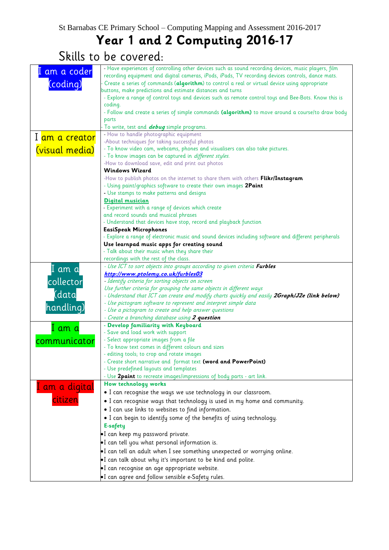### **Year 1 and 2 Computing 2016-17**

Skills to be covered:

| am a coder                  | - Have experiences of controlling other devices such as sound recording devices, music players, film |
|-----------------------------|------------------------------------------------------------------------------------------------------|
|                             | recording equipment and digital cameras, iPods, iPads, TV recording devices controls, dance mats.    |
| (coding)                    | Create a series of commands (algorithm) to control a real or virtual device using appropriate        |
|                             | buttons, make predictions and estimate distances and turns                                           |
|                             | - Explore a range of control toys and devices such as remote control toys and Bee-Bots. Know this is |
|                             | coding.                                                                                              |
|                             |                                                                                                      |
|                             | - Follow and create a series of simple commands (algorithm) to move around a course/to draw body     |
|                             | parts                                                                                                |
|                             | To write, test and <b>debug</b> simple programs.                                                     |
|                             | - How to handle photographic equipment                                                               |
| I <mark>am a creator</mark> | -About techniques for taking successful photos                                                       |
|                             | - To know video cam, webcams, phones and visualisers can also take pictures.                         |
| (visual media)              |                                                                                                      |
|                             | - To know images can be captured in <i>different styles.</i>                                         |
|                             | -How to download save, edit and print out photos                                                     |
|                             | <b>Windows Wizard</b>                                                                                |
|                             | -How to publish photos on the internet to share them with others Flikr/Instagram                     |
|                             | - Using paint/graphics software to create their own images 2Paint                                    |
|                             | - Use stamps to make patterns and designs                                                            |
|                             |                                                                                                      |
|                             | <b>Digital musician</b>                                                                              |
|                             | - Experiment with a range of devices which create                                                    |
|                             | and record sounds and musical phrases                                                                |
|                             | - Understand that devices have stop, record and playback function                                    |
|                             | <b>EasiSpeak Microphones</b>                                                                         |
|                             | - Explore a range of electronic music and sound devices including software and different peripherals |
|                             |                                                                                                      |
|                             | Use learnpad music apps for creating sound                                                           |
|                             | - Talk about their music when they share their                                                       |
|                             | recordings with the rest of the class.                                                               |
| I am a                      | - Use ICT to sort objects into groups according to given criteria Furbles                            |
|                             | http://www.ptolemy.co.uk/furbles03                                                                   |
| collector                   | - Identify criteria for sorting objects on screen                                                    |
|                             | Use further criteria for grouping the same objects in different ways                                 |
| (data                       | - Understand that ICT can create and modify charts quickly and easily 2Graph/J2e (link below)        |
|                             |                                                                                                      |
| handling)                   | - Use pictogram software to represent and interpret simple data                                      |
|                             | - Use a pictogram to create and help answer questions                                                |
|                             | - Create a branching database using 2 question                                                       |
|                             | - Develop familiarity with Keyboard                                                                  |
| I am a                      | - Save and load work with support                                                                    |
| communicator                | - Select appropriate images from a file                                                              |
|                             | - To know text comes in different colours and sizes                                                  |
|                             |                                                                                                      |
|                             | - editing tools; to crop and rotate images                                                           |
|                             | - Create short narrative and format text (word and PowerPoint)                                       |
|                             | - Use predefined layouts and templates                                                               |
|                             | - Use 2 paint to recreate images/impressions of body parts - art link.                               |
|                             | How technology works                                                                                 |
| I am a digital              | . I can recognise the ways we use technology in our classroom.                                       |
|                             |                                                                                                      |
| citizen                     | . I can recognise ways that technology is used in my home and community.                             |
|                             | • I can use links to websites to find information.                                                   |
|                             | . I can begin to identify some of the benefits of using technology.                                  |
|                             | E-safety                                                                                             |
|                             |                                                                                                      |
|                             | .I can keep my password private.                                                                     |
|                             | •I can tell you what personal information is.                                                        |
|                             | . I can tell an adult when I see something unexpected or worrying online.                            |
|                             |                                                                                                      |
|                             | I can talk about why it's important to be kind and polite.                                           |
|                             | ·I can recognise an age appropriate website.                                                         |
|                             | •I can agree and follow sensible e-Safety rules.                                                     |
|                             |                                                                                                      |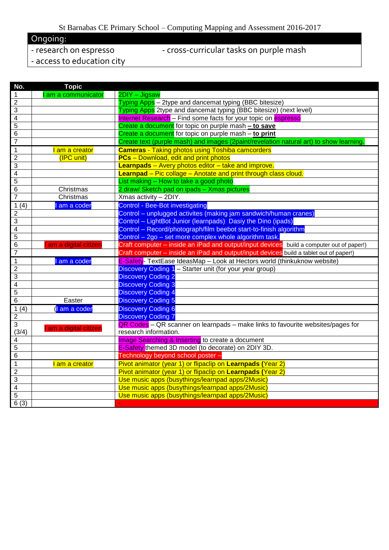#### St Barnabas CE Primary School – Computing Mapping and Assessment 2016-2017

Ongoing:<br>- research on espresso

#### - cross-curricular tasks on purple mash

- access to education city

| $\mathbf{1}$<br>2DIY - Jigsaw<br>am a communicator<br>$\overline{2}$<br>Typing Apps - 2type and dancemat typing (BBC bitesize)<br>$\overline{3}$<br>Typing Apps 2type and dancemat typing (BBC bitesize) (next level)<br>$\overline{4}$<br>Internet Research - Find some facts for your topic on espresso<br>$\overline{5}$<br>Create a document for topic on purple mash - to save<br>$\overline{6}$<br>Create a document for topic on purple mash - to print<br>$\overline{7}$<br>Create text (purple mash) and images (2paint/revelation natural art) to show learning.<br><b>Cameras - Taking photos using Toshiba camcorders</b><br>$\overline{1}$<br>I am a creator<br>$\overline{2}$<br>(IPC unit)<br><b>PCs</b> - Download, edit and print photos<br>$\overline{3}$<br><b>Learnpads</b> – Avery photos editor – take and improve.<br>$\overline{4}$<br><b>Learnpad</b> – Pic collage – Anotate and print through class cloud.<br>$\overline{5}$<br>List making - How to take a good photo<br>$\overline{6}$<br>2 draw/ Sketch pad on ipads - Xmas pictures<br>Christmas<br>$\overline{7}$<br>Christmas<br>Xmas activity - 2DIY.<br><b>Control - Bee-Bot investigating</b><br>1(4)<br>am a coder<br>$\overline{2}$<br>Control - unplugged activites (making jam sandwich/human cranes)<br>Control - LightBot Junior (learnpads) Dasiy the Dino (ipads)<br>$\overline{3}$<br>$\overline{4}$<br>Control - Record/photograph/film beebot start-to-finish algorithm<br>$\overline{5}$<br>Control - 2go - set more complex whole algorithm task.<br>$\overline{6}$<br>Craft computer – inside an iPad and output/input devices build a computer out of paper!)<br>am a digital citizen<br>$\overline{7}$<br>Craft computer - inside an iPad and output/input devices build a tablet out of paper!)<br>E-Safety- TextEase IdeasMap - Look at Hectors world (thinkuknow website)<br>$\overline{1}$<br>I am a coder<br>$\overline{2}$<br>Discovery Coding 1 - Starter unit (for your year group)<br>$\overline{3}$<br><b>Discovery Coding 2</b><br>$\overline{4}$<br><b>Discovery Coding 3</b><br>$\overline{5}$<br><b>Discovery Coding 4</b><br>$\overline{6}$<br>Easter<br><b>Discovery Coding 5</b><br><b>Discovery Coding 6</b><br>1(4)<br>I am a coder<br>$\overline{2}$<br><b>Discovery Coding 7</b><br>$\overline{3}$<br>QR Codes - QR scanner on learnpads - make links to favourite websites/pages for<br>I am a digital citizen<br>(3/4)<br>research information.<br>Image Searching & Inserting to create a document<br>$\overline{4}$<br>5<br>E-Safety themed 3D model (to decorate) on 2DIY 3D.<br>$\overline{6}$<br>Technology beyond school poster -<br>$\overline{1}$<br>Pivot animator (year 1) or flipaclip on Learnpads (Year 2)<br>I am a creator<br>$\overline{2}$<br>Pivot animator (year 1) or flipaclip on Learnpads (Year 2)<br>$\overline{3}$<br>Use music apps (busythings/learnpad apps/2Music)<br>$\overline{4}$<br>Use music apps (busythings/learnpad apps/2Music)<br>$\overline{5}$<br>Use music apps (busythings/learnpad apps/2Music)<br>6(3) | No. | <b>Topic</b> |  |  |
|--------------------------------------------------------------------------------------------------------------------------------------------------------------------------------------------------------------------------------------------------------------------------------------------------------------------------------------------------------------------------------------------------------------------------------------------------------------------------------------------------------------------------------------------------------------------------------------------------------------------------------------------------------------------------------------------------------------------------------------------------------------------------------------------------------------------------------------------------------------------------------------------------------------------------------------------------------------------------------------------------------------------------------------------------------------------------------------------------------------------------------------------------------------------------------------------------------------------------------------------------------------------------------------------------------------------------------------------------------------------------------------------------------------------------------------------------------------------------------------------------------------------------------------------------------------------------------------------------------------------------------------------------------------------------------------------------------------------------------------------------------------------------------------------------------------------------------------------------------------------------------------------------------------------------------------------------------------------------------------------------------------------------------------------------------------------------------------------------------------------------------------------------------------------------------------------------------------------------------------------------------------------------------------------------------------------------------------------------------------------------------------------------------------------------------------------------------------------------------------------------------------------------------------------------------------------------------------------------------------------------------------------------------------------------------------------------------------------------------------------------------------------------------------------------------------------------------------------------------------------------------------------------------------------------------------------------------------------------------------------------------------------------------------------------------------------------------|-----|--------------|--|--|
|                                                                                                                                                                                                                                                                                                                                                                                                                                                                                                                                                                                                                                                                                                                                                                                                                                                                                                                                                                                                                                                                                                                                                                                                                                                                                                                                                                                                                                                                                                                                                                                                                                                                                                                                                                                                                                                                                                                                                                                                                                                                                                                                                                                                                                                                                                                                                                                                                                                                                                                                                                                                                                                                                                                                                                                                                                                                                                                                                                                                                                                                                |     |              |  |  |
|                                                                                                                                                                                                                                                                                                                                                                                                                                                                                                                                                                                                                                                                                                                                                                                                                                                                                                                                                                                                                                                                                                                                                                                                                                                                                                                                                                                                                                                                                                                                                                                                                                                                                                                                                                                                                                                                                                                                                                                                                                                                                                                                                                                                                                                                                                                                                                                                                                                                                                                                                                                                                                                                                                                                                                                                                                                                                                                                                                                                                                                                                |     |              |  |  |
|                                                                                                                                                                                                                                                                                                                                                                                                                                                                                                                                                                                                                                                                                                                                                                                                                                                                                                                                                                                                                                                                                                                                                                                                                                                                                                                                                                                                                                                                                                                                                                                                                                                                                                                                                                                                                                                                                                                                                                                                                                                                                                                                                                                                                                                                                                                                                                                                                                                                                                                                                                                                                                                                                                                                                                                                                                                                                                                                                                                                                                                                                |     |              |  |  |
|                                                                                                                                                                                                                                                                                                                                                                                                                                                                                                                                                                                                                                                                                                                                                                                                                                                                                                                                                                                                                                                                                                                                                                                                                                                                                                                                                                                                                                                                                                                                                                                                                                                                                                                                                                                                                                                                                                                                                                                                                                                                                                                                                                                                                                                                                                                                                                                                                                                                                                                                                                                                                                                                                                                                                                                                                                                                                                                                                                                                                                                                                |     |              |  |  |
|                                                                                                                                                                                                                                                                                                                                                                                                                                                                                                                                                                                                                                                                                                                                                                                                                                                                                                                                                                                                                                                                                                                                                                                                                                                                                                                                                                                                                                                                                                                                                                                                                                                                                                                                                                                                                                                                                                                                                                                                                                                                                                                                                                                                                                                                                                                                                                                                                                                                                                                                                                                                                                                                                                                                                                                                                                                                                                                                                                                                                                                                                |     |              |  |  |
|                                                                                                                                                                                                                                                                                                                                                                                                                                                                                                                                                                                                                                                                                                                                                                                                                                                                                                                                                                                                                                                                                                                                                                                                                                                                                                                                                                                                                                                                                                                                                                                                                                                                                                                                                                                                                                                                                                                                                                                                                                                                                                                                                                                                                                                                                                                                                                                                                                                                                                                                                                                                                                                                                                                                                                                                                                                                                                                                                                                                                                                                                |     |              |  |  |
|                                                                                                                                                                                                                                                                                                                                                                                                                                                                                                                                                                                                                                                                                                                                                                                                                                                                                                                                                                                                                                                                                                                                                                                                                                                                                                                                                                                                                                                                                                                                                                                                                                                                                                                                                                                                                                                                                                                                                                                                                                                                                                                                                                                                                                                                                                                                                                                                                                                                                                                                                                                                                                                                                                                                                                                                                                                                                                                                                                                                                                                                                |     |              |  |  |
|                                                                                                                                                                                                                                                                                                                                                                                                                                                                                                                                                                                                                                                                                                                                                                                                                                                                                                                                                                                                                                                                                                                                                                                                                                                                                                                                                                                                                                                                                                                                                                                                                                                                                                                                                                                                                                                                                                                                                                                                                                                                                                                                                                                                                                                                                                                                                                                                                                                                                                                                                                                                                                                                                                                                                                                                                                                                                                                                                                                                                                                                                |     |              |  |  |
|                                                                                                                                                                                                                                                                                                                                                                                                                                                                                                                                                                                                                                                                                                                                                                                                                                                                                                                                                                                                                                                                                                                                                                                                                                                                                                                                                                                                                                                                                                                                                                                                                                                                                                                                                                                                                                                                                                                                                                                                                                                                                                                                                                                                                                                                                                                                                                                                                                                                                                                                                                                                                                                                                                                                                                                                                                                                                                                                                                                                                                                                                |     |              |  |  |
|                                                                                                                                                                                                                                                                                                                                                                                                                                                                                                                                                                                                                                                                                                                                                                                                                                                                                                                                                                                                                                                                                                                                                                                                                                                                                                                                                                                                                                                                                                                                                                                                                                                                                                                                                                                                                                                                                                                                                                                                                                                                                                                                                                                                                                                                                                                                                                                                                                                                                                                                                                                                                                                                                                                                                                                                                                                                                                                                                                                                                                                                                |     |              |  |  |
|                                                                                                                                                                                                                                                                                                                                                                                                                                                                                                                                                                                                                                                                                                                                                                                                                                                                                                                                                                                                                                                                                                                                                                                                                                                                                                                                                                                                                                                                                                                                                                                                                                                                                                                                                                                                                                                                                                                                                                                                                                                                                                                                                                                                                                                                                                                                                                                                                                                                                                                                                                                                                                                                                                                                                                                                                                                                                                                                                                                                                                                                                |     |              |  |  |
|                                                                                                                                                                                                                                                                                                                                                                                                                                                                                                                                                                                                                                                                                                                                                                                                                                                                                                                                                                                                                                                                                                                                                                                                                                                                                                                                                                                                                                                                                                                                                                                                                                                                                                                                                                                                                                                                                                                                                                                                                                                                                                                                                                                                                                                                                                                                                                                                                                                                                                                                                                                                                                                                                                                                                                                                                                                                                                                                                                                                                                                                                |     |              |  |  |
|                                                                                                                                                                                                                                                                                                                                                                                                                                                                                                                                                                                                                                                                                                                                                                                                                                                                                                                                                                                                                                                                                                                                                                                                                                                                                                                                                                                                                                                                                                                                                                                                                                                                                                                                                                                                                                                                                                                                                                                                                                                                                                                                                                                                                                                                                                                                                                                                                                                                                                                                                                                                                                                                                                                                                                                                                                                                                                                                                                                                                                                                                |     |              |  |  |
|                                                                                                                                                                                                                                                                                                                                                                                                                                                                                                                                                                                                                                                                                                                                                                                                                                                                                                                                                                                                                                                                                                                                                                                                                                                                                                                                                                                                                                                                                                                                                                                                                                                                                                                                                                                                                                                                                                                                                                                                                                                                                                                                                                                                                                                                                                                                                                                                                                                                                                                                                                                                                                                                                                                                                                                                                                                                                                                                                                                                                                                                                |     |              |  |  |
|                                                                                                                                                                                                                                                                                                                                                                                                                                                                                                                                                                                                                                                                                                                                                                                                                                                                                                                                                                                                                                                                                                                                                                                                                                                                                                                                                                                                                                                                                                                                                                                                                                                                                                                                                                                                                                                                                                                                                                                                                                                                                                                                                                                                                                                                                                                                                                                                                                                                                                                                                                                                                                                                                                                                                                                                                                                                                                                                                                                                                                                                                |     |              |  |  |
|                                                                                                                                                                                                                                                                                                                                                                                                                                                                                                                                                                                                                                                                                                                                                                                                                                                                                                                                                                                                                                                                                                                                                                                                                                                                                                                                                                                                                                                                                                                                                                                                                                                                                                                                                                                                                                                                                                                                                                                                                                                                                                                                                                                                                                                                                                                                                                                                                                                                                                                                                                                                                                                                                                                                                                                                                                                                                                                                                                                                                                                                                |     |              |  |  |
|                                                                                                                                                                                                                                                                                                                                                                                                                                                                                                                                                                                                                                                                                                                                                                                                                                                                                                                                                                                                                                                                                                                                                                                                                                                                                                                                                                                                                                                                                                                                                                                                                                                                                                                                                                                                                                                                                                                                                                                                                                                                                                                                                                                                                                                                                                                                                                                                                                                                                                                                                                                                                                                                                                                                                                                                                                                                                                                                                                                                                                                                                |     |              |  |  |
|                                                                                                                                                                                                                                                                                                                                                                                                                                                                                                                                                                                                                                                                                                                                                                                                                                                                                                                                                                                                                                                                                                                                                                                                                                                                                                                                                                                                                                                                                                                                                                                                                                                                                                                                                                                                                                                                                                                                                                                                                                                                                                                                                                                                                                                                                                                                                                                                                                                                                                                                                                                                                                                                                                                                                                                                                                                                                                                                                                                                                                                                                |     |              |  |  |
|                                                                                                                                                                                                                                                                                                                                                                                                                                                                                                                                                                                                                                                                                                                                                                                                                                                                                                                                                                                                                                                                                                                                                                                                                                                                                                                                                                                                                                                                                                                                                                                                                                                                                                                                                                                                                                                                                                                                                                                                                                                                                                                                                                                                                                                                                                                                                                                                                                                                                                                                                                                                                                                                                                                                                                                                                                                                                                                                                                                                                                                                                |     |              |  |  |
|                                                                                                                                                                                                                                                                                                                                                                                                                                                                                                                                                                                                                                                                                                                                                                                                                                                                                                                                                                                                                                                                                                                                                                                                                                                                                                                                                                                                                                                                                                                                                                                                                                                                                                                                                                                                                                                                                                                                                                                                                                                                                                                                                                                                                                                                                                                                                                                                                                                                                                                                                                                                                                                                                                                                                                                                                                                                                                                                                                                                                                                                                |     |              |  |  |
|                                                                                                                                                                                                                                                                                                                                                                                                                                                                                                                                                                                                                                                                                                                                                                                                                                                                                                                                                                                                                                                                                                                                                                                                                                                                                                                                                                                                                                                                                                                                                                                                                                                                                                                                                                                                                                                                                                                                                                                                                                                                                                                                                                                                                                                                                                                                                                                                                                                                                                                                                                                                                                                                                                                                                                                                                                                                                                                                                                                                                                                                                |     |              |  |  |
|                                                                                                                                                                                                                                                                                                                                                                                                                                                                                                                                                                                                                                                                                                                                                                                                                                                                                                                                                                                                                                                                                                                                                                                                                                                                                                                                                                                                                                                                                                                                                                                                                                                                                                                                                                                                                                                                                                                                                                                                                                                                                                                                                                                                                                                                                                                                                                                                                                                                                                                                                                                                                                                                                                                                                                                                                                                                                                                                                                                                                                                                                |     |              |  |  |
|                                                                                                                                                                                                                                                                                                                                                                                                                                                                                                                                                                                                                                                                                                                                                                                                                                                                                                                                                                                                                                                                                                                                                                                                                                                                                                                                                                                                                                                                                                                                                                                                                                                                                                                                                                                                                                                                                                                                                                                                                                                                                                                                                                                                                                                                                                                                                                                                                                                                                                                                                                                                                                                                                                                                                                                                                                                                                                                                                                                                                                                                                |     |              |  |  |
|                                                                                                                                                                                                                                                                                                                                                                                                                                                                                                                                                                                                                                                                                                                                                                                                                                                                                                                                                                                                                                                                                                                                                                                                                                                                                                                                                                                                                                                                                                                                                                                                                                                                                                                                                                                                                                                                                                                                                                                                                                                                                                                                                                                                                                                                                                                                                                                                                                                                                                                                                                                                                                                                                                                                                                                                                                                                                                                                                                                                                                                                                |     |              |  |  |
|                                                                                                                                                                                                                                                                                                                                                                                                                                                                                                                                                                                                                                                                                                                                                                                                                                                                                                                                                                                                                                                                                                                                                                                                                                                                                                                                                                                                                                                                                                                                                                                                                                                                                                                                                                                                                                                                                                                                                                                                                                                                                                                                                                                                                                                                                                                                                                                                                                                                                                                                                                                                                                                                                                                                                                                                                                                                                                                                                                                                                                                                                |     |              |  |  |
|                                                                                                                                                                                                                                                                                                                                                                                                                                                                                                                                                                                                                                                                                                                                                                                                                                                                                                                                                                                                                                                                                                                                                                                                                                                                                                                                                                                                                                                                                                                                                                                                                                                                                                                                                                                                                                                                                                                                                                                                                                                                                                                                                                                                                                                                                                                                                                                                                                                                                                                                                                                                                                                                                                                                                                                                                                                                                                                                                                                                                                                                                |     |              |  |  |
|                                                                                                                                                                                                                                                                                                                                                                                                                                                                                                                                                                                                                                                                                                                                                                                                                                                                                                                                                                                                                                                                                                                                                                                                                                                                                                                                                                                                                                                                                                                                                                                                                                                                                                                                                                                                                                                                                                                                                                                                                                                                                                                                                                                                                                                                                                                                                                                                                                                                                                                                                                                                                                                                                                                                                                                                                                                                                                                                                                                                                                                                                |     |              |  |  |
|                                                                                                                                                                                                                                                                                                                                                                                                                                                                                                                                                                                                                                                                                                                                                                                                                                                                                                                                                                                                                                                                                                                                                                                                                                                                                                                                                                                                                                                                                                                                                                                                                                                                                                                                                                                                                                                                                                                                                                                                                                                                                                                                                                                                                                                                                                                                                                                                                                                                                                                                                                                                                                                                                                                                                                                                                                                                                                                                                                                                                                                                                |     |              |  |  |
|                                                                                                                                                                                                                                                                                                                                                                                                                                                                                                                                                                                                                                                                                                                                                                                                                                                                                                                                                                                                                                                                                                                                                                                                                                                                                                                                                                                                                                                                                                                                                                                                                                                                                                                                                                                                                                                                                                                                                                                                                                                                                                                                                                                                                                                                                                                                                                                                                                                                                                                                                                                                                                                                                                                                                                                                                                                                                                                                                                                                                                                                                |     |              |  |  |
|                                                                                                                                                                                                                                                                                                                                                                                                                                                                                                                                                                                                                                                                                                                                                                                                                                                                                                                                                                                                                                                                                                                                                                                                                                                                                                                                                                                                                                                                                                                                                                                                                                                                                                                                                                                                                                                                                                                                                                                                                                                                                                                                                                                                                                                                                                                                                                                                                                                                                                                                                                                                                                                                                                                                                                                                                                                                                                                                                                                                                                                                                |     |              |  |  |
|                                                                                                                                                                                                                                                                                                                                                                                                                                                                                                                                                                                                                                                                                                                                                                                                                                                                                                                                                                                                                                                                                                                                                                                                                                                                                                                                                                                                                                                                                                                                                                                                                                                                                                                                                                                                                                                                                                                                                                                                                                                                                                                                                                                                                                                                                                                                                                                                                                                                                                                                                                                                                                                                                                                                                                                                                                                                                                                                                                                                                                                                                |     |              |  |  |
|                                                                                                                                                                                                                                                                                                                                                                                                                                                                                                                                                                                                                                                                                                                                                                                                                                                                                                                                                                                                                                                                                                                                                                                                                                                                                                                                                                                                                                                                                                                                                                                                                                                                                                                                                                                                                                                                                                                                                                                                                                                                                                                                                                                                                                                                                                                                                                                                                                                                                                                                                                                                                                                                                                                                                                                                                                                                                                                                                                                                                                                                                |     |              |  |  |
|                                                                                                                                                                                                                                                                                                                                                                                                                                                                                                                                                                                                                                                                                                                                                                                                                                                                                                                                                                                                                                                                                                                                                                                                                                                                                                                                                                                                                                                                                                                                                                                                                                                                                                                                                                                                                                                                                                                                                                                                                                                                                                                                                                                                                                                                                                                                                                                                                                                                                                                                                                                                                                                                                                                                                                                                                                                                                                                                                                                                                                                                                |     |              |  |  |
|                                                                                                                                                                                                                                                                                                                                                                                                                                                                                                                                                                                                                                                                                                                                                                                                                                                                                                                                                                                                                                                                                                                                                                                                                                                                                                                                                                                                                                                                                                                                                                                                                                                                                                                                                                                                                                                                                                                                                                                                                                                                                                                                                                                                                                                                                                                                                                                                                                                                                                                                                                                                                                                                                                                                                                                                                                                                                                                                                                                                                                                                                |     |              |  |  |
|                                                                                                                                                                                                                                                                                                                                                                                                                                                                                                                                                                                                                                                                                                                                                                                                                                                                                                                                                                                                                                                                                                                                                                                                                                                                                                                                                                                                                                                                                                                                                                                                                                                                                                                                                                                                                                                                                                                                                                                                                                                                                                                                                                                                                                                                                                                                                                                                                                                                                                                                                                                                                                                                                                                                                                                                                                                                                                                                                                                                                                                                                |     |              |  |  |
|                                                                                                                                                                                                                                                                                                                                                                                                                                                                                                                                                                                                                                                                                                                                                                                                                                                                                                                                                                                                                                                                                                                                                                                                                                                                                                                                                                                                                                                                                                                                                                                                                                                                                                                                                                                                                                                                                                                                                                                                                                                                                                                                                                                                                                                                                                                                                                                                                                                                                                                                                                                                                                                                                                                                                                                                                                                                                                                                                                                                                                                                                |     |              |  |  |
|                                                                                                                                                                                                                                                                                                                                                                                                                                                                                                                                                                                                                                                                                                                                                                                                                                                                                                                                                                                                                                                                                                                                                                                                                                                                                                                                                                                                                                                                                                                                                                                                                                                                                                                                                                                                                                                                                                                                                                                                                                                                                                                                                                                                                                                                                                                                                                                                                                                                                                                                                                                                                                                                                                                                                                                                                                                                                                                                                                                                                                                                                |     |              |  |  |
|                                                                                                                                                                                                                                                                                                                                                                                                                                                                                                                                                                                                                                                                                                                                                                                                                                                                                                                                                                                                                                                                                                                                                                                                                                                                                                                                                                                                                                                                                                                                                                                                                                                                                                                                                                                                                                                                                                                                                                                                                                                                                                                                                                                                                                                                                                                                                                                                                                                                                                                                                                                                                                                                                                                                                                                                                                                                                                                                                                                                                                                                                |     |              |  |  |
|                                                                                                                                                                                                                                                                                                                                                                                                                                                                                                                                                                                                                                                                                                                                                                                                                                                                                                                                                                                                                                                                                                                                                                                                                                                                                                                                                                                                                                                                                                                                                                                                                                                                                                                                                                                                                                                                                                                                                                                                                                                                                                                                                                                                                                                                                                                                                                                                                                                                                                                                                                                                                                                                                                                                                                                                                                                                                                                                                                                                                                                                                |     |              |  |  |
|                                                                                                                                                                                                                                                                                                                                                                                                                                                                                                                                                                                                                                                                                                                                                                                                                                                                                                                                                                                                                                                                                                                                                                                                                                                                                                                                                                                                                                                                                                                                                                                                                                                                                                                                                                                                                                                                                                                                                                                                                                                                                                                                                                                                                                                                                                                                                                                                                                                                                                                                                                                                                                                                                                                                                                                                                                                                                                                                                                                                                                                                                |     |              |  |  |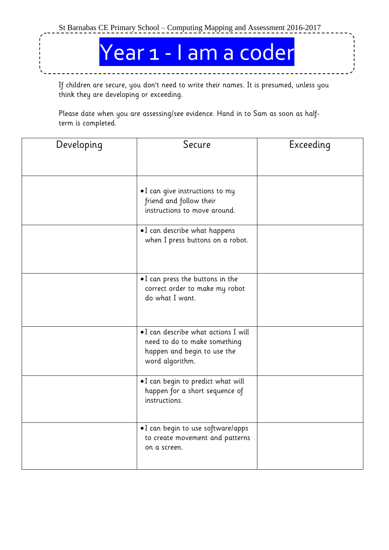Year 1 - I am a coder

If children are secure, you don't need to write their names. It is presumed, unless you think they are developing or exceeding.

| Developing | Secure                                                                                                                 | Exceeding |
|------------|------------------------------------------------------------------------------------------------------------------------|-----------|
|            | . I can give instructions to my<br>friend and follow their<br>instructions to move around.                             |           |
|            | •I can describe what happens<br>when I press buttons on a robot.                                                       |           |
|            | .I can press the buttons in the<br>correct order to make my robot<br>do what I want.                                   |           |
|            | . I can describe what actions I will<br>need to do to make something<br>happen and begin to use the<br>word algorithm. |           |
|            | .I can begin to predict what will<br>happen for a short sequence of<br>instructions.                                   |           |
|            | .I can begin to use software/apps<br>to create movement and patterns<br>on a screen.                                   |           |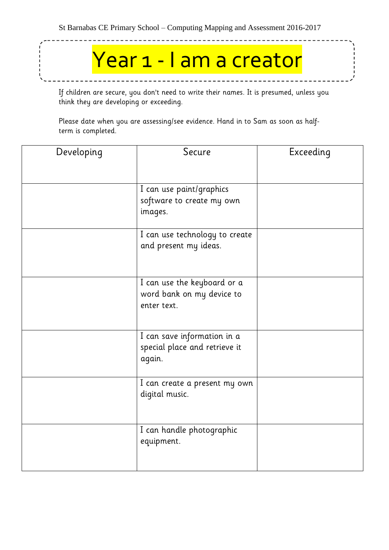# Year 1 - I am a creator

If children are secure, you don't need to write their names. It is presumed, unless you think they are developing or exceeding.

| Developing | Secure                                  | Exceeding |
|------------|-----------------------------------------|-----------|
|            |                                         |           |
|            | I can use paint/graphics                |           |
|            | software to create my own               |           |
|            | images.                                 |           |
|            | I can use technology to create          |           |
|            | and present my ideas.                   |           |
|            |                                         |           |
|            | I can use the keyboard or a             |           |
|            | word bank on my device to               |           |
|            | enter text.                             |           |
|            |                                         |           |
|            | I can save information in a             |           |
|            | special place and retrieve it<br>again. |           |
|            |                                         |           |
|            | I can create a present my own           |           |
|            | digital music.                          |           |
|            |                                         |           |
|            | I can handle photographic               |           |
|            | equipment.                              |           |
|            |                                         |           |
|            |                                         |           |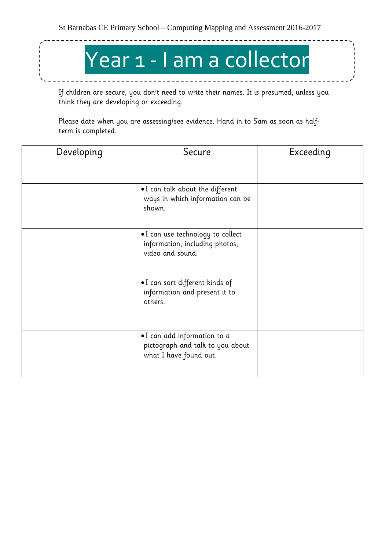$- - - - - -$ 

# Year 1 - I am a collector

\_\_\_\_\_\_\_\_\_\_\_\_\_

If children are secure, you don't need to write their names. It is presumed, unless you think they are developing or exceeding.

| Developing | Secure                                                                                          | Exceeding |
|------------|-------------------------------------------------------------------------------------------------|-----------|
|            | $\bullet$ I can talk about the different<br>ways in which information can be<br>shown.          |           |
|            | $\bullet$ I can use technology to collect<br>information, including photos,<br>video and sound. |           |
|            | .I can sort different kinds of<br>information and present it to<br>others.                      |           |
|            | •I can add information to a<br>pictograph and talk to you about<br>what I have found out.       |           |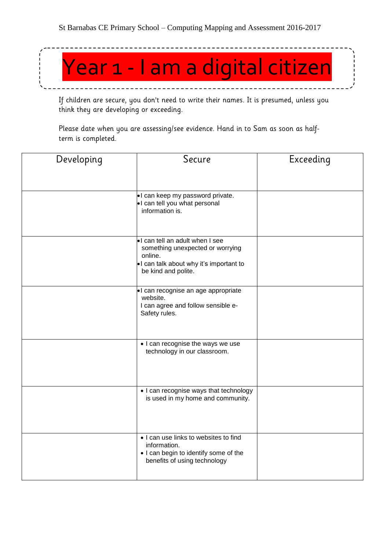

If children are secure, you don't need to write their names. It is presumed, unless you think they are developing or exceeding.

| Developing | Secure                                                                                                                                         | Exceeding |
|------------|------------------------------------------------------------------------------------------------------------------------------------------------|-----------|
|            | .I can keep my password private.<br>. I can tell you what personal<br>information is.                                                          |           |
|            | I can tell an adult when I see<br>something unexpected or worrying<br>online.<br>I can talk about why it's important to<br>be kind and polite. |           |
|            | I can recognise an age appropriate<br>website.<br>I can agree and follow sensible e-<br>Safety rules.                                          |           |
|            | . I can recognise the ways we use<br>technology in our classroom.                                                                              |           |
|            | • I can recognise ways that technology<br>is used in my home and community.                                                                    |           |
|            | . I can use links to websites to find<br>information.<br>. I can begin to identify some of the<br>benefits of using technology                 |           |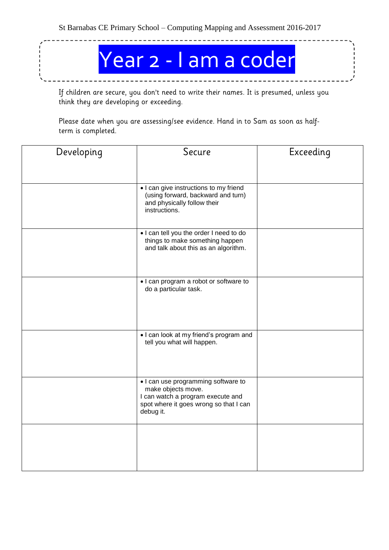Year 2 - I am a coder

If children are secure, you don't need to write their names. It is presumed, unless you think they are developing or exceeding.

| Developing | Secure                                                                                                                                                | Exceeding |
|------------|-------------------------------------------------------------------------------------------------------------------------------------------------------|-----------|
|            |                                                                                                                                                       |           |
|            | . I can give instructions to my friend<br>(using forward, backward and turn)<br>and physically follow their<br>instructions.                          |           |
|            | . I can tell you the order I need to do<br>things to make something happen<br>and talk about this as an algorithm.                                    |           |
|            | . I can program a robot or software to<br>do a particular task.                                                                                       |           |
|            | . I can look at my friend's program and<br>tell you what will happen.                                                                                 |           |
|            | . I can use programming software to<br>make objects move.<br>I can watch a program execute and<br>spot where it goes wrong so that I can<br>debug it. |           |
|            |                                                                                                                                                       |           |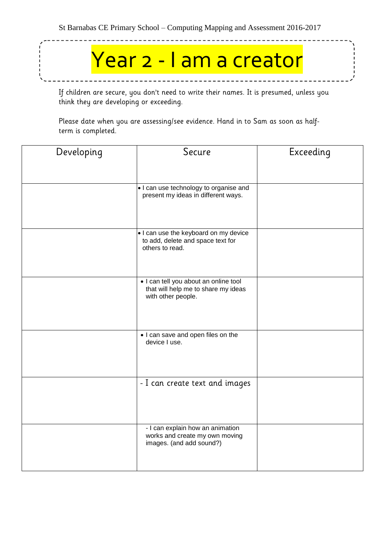# Year 2 - I am a creator

If children are secure, you don't need to write their names. It is presumed, unless you think they are developing or exceeding.

| Developing | Secure                                                                                             | Exceeding |
|------------|----------------------------------------------------------------------------------------------------|-----------|
|            | . I can use technology to organise and                                                             |           |
|            | present my ideas in different ways.                                                                |           |
|            | . I can use the keyboard on my device<br>to add, delete and space text for<br>others to read.      |           |
|            | . I can tell you about an online tool<br>that will help me to share my ideas<br>with other people. |           |
|            | . I can save and open files on the<br>device I use.                                                |           |
|            | - I can create text and images                                                                     |           |
|            | - I can explain how an animation<br>works and create my own moving<br>images. (and add sound?)     |           |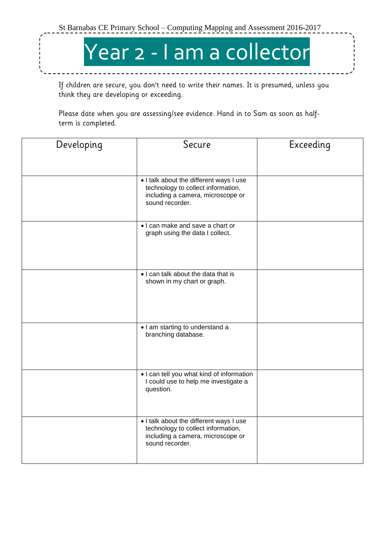

If children are secure, you don't need to write their names. It is presumed, unless you think they are developing or exceeding.

| Developing | Secure                                                                                                                                | Exceeding |
|------------|---------------------------------------------------------------------------------------------------------------------------------------|-----------|
|            |                                                                                                                                       |           |
|            | . I talk about the different ways I use<br>technology to collect information,<br>including a camera, microscope or<br>sound recorder. |           |
|            | • I can make and save a chart or<br>graph using the data I collect.                                                                   |           |
|            | . I can talk about the data that is<br>shown in my chart or graph.                                                                    |           |
|            | • I am starting to understand a<br>branching database.                                                                                |           |
|            | . I can tell you what kind of information<br>I could use to help me investigate a<br>question.                                        |           |
|            | . I talk about the different ways I use<br>technology to collect information,<br>including a camera, microscope or<br>sound recorder. |           |